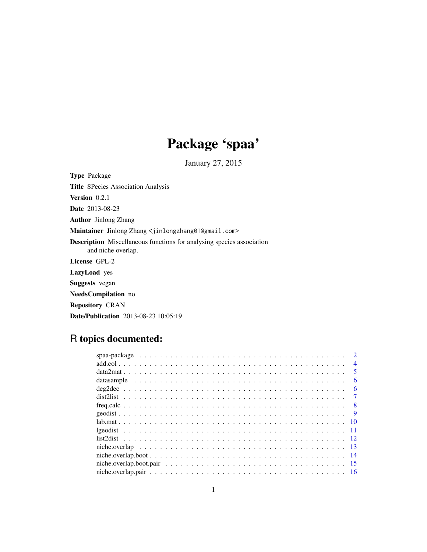# Package 'spaa'

January 27, 2015

<span id="page-0-0"></span>Type Package Title SPecies Association Analysis Version 0.2.1 Date 2013-08-23 Author Jinlong Zhang Maintainer Jinlong Zhang <jinlongzhang01@gmail.com> Description Miscellaneous functions for analysing species association and niche overlap. License GPL-2 LazyLoad yes Suggests vegan NeedsCompilation no Repository CRAN Date/Publication 2013-08-23 10:05:19

# R topics documented:

| $\overline{4}$ |
|----------------|
| .5             |
| 6              |
| 6              |
|                |
| - 8            |
| -9             |
|                |
|                |
|                |
|                |
|                |
| -15            |
|                |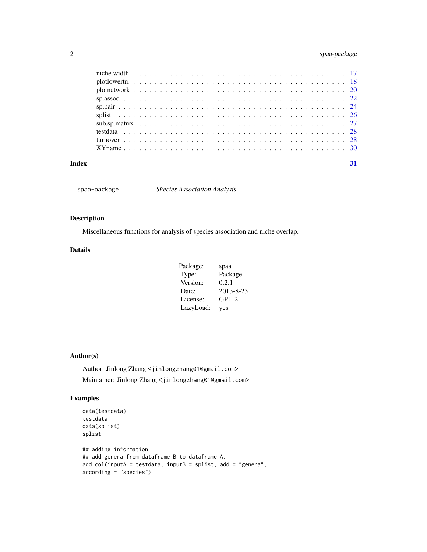# <span id="page-1-0"></span>2 spaa-package

| Index |  |
|-------|--|

spaa-package *SPecies Association Analysis*

# Description

Miscellaneous functions for analysis of species association and niche overlap.

#### Details

| Package:  | spaa      |
|-----------|-----------|
| Type:     | Package   |
| Version:  | 0.2.1     |
| Date:     | 2013-8-23 |
| License:  | $GPL-2$   |
| LazyLoad: | yes       |

# Author(s)

Author: Jinlong Zhang <jinlongzhang01@gmail.com> Maintainer: Jinlong Zhang <jinlongzhang01@gmail.com>

# Examples

```
data(testdata)
testdata
data(splist)
splist
## adding information
## add genera from dataframe B to dataframe A.
add.col(inputA = testdata, inputB = splist, add = "genera",
according = "species")
```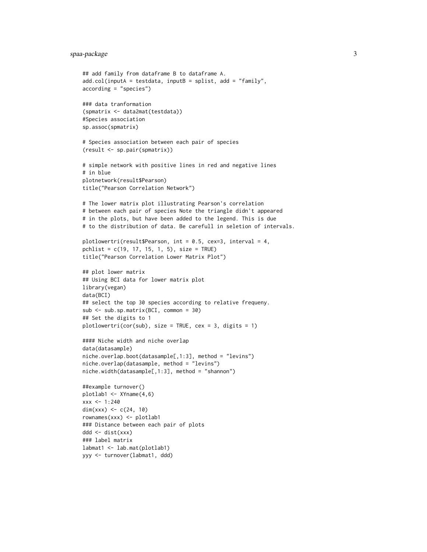# spaa-package 3

```
## add family from dataframe B to dataframe A.
add.col(inputA = testdata, inputB = splist, add = "family",
according = "species")
### data tranformation
(spmatrix <- data2mat(testdata))
#Species association
sp.assoc(spmatrix)
# Species association between each pair of species
(result <- sp.pair(spmatrix))
# simple network with positive lines in red and negative lines
# in blue
plotnetwork(result$Pearson)
title("Pearson Correlation Network")
# The lower matrix plot illustrating Pearson's correlation
# between each pair of species Note the triangle didn't appeared
# in the plots, but have been added to the legend. This is due
# to the distribution of data. Be carefull in seletion of intervals.
plotlowertri(result$Pearson, int = 0.5, cex=3, interval = 4,
pchlist = c(19, 17, 15, 1, 5), size = TRUE)
title("Pearson Correlation Lower Matrix Plot")
## plot lower matrix
## Using BCI data for lower matrix plot
library(vegan)
data(BCI)
## select the top 30 species according to relative frequeny.
sub <- sub.sp.matrix(BCI, common = 30)
## Set the digits to 1
plotlowertri(cor(sub), size = TRUE, cex = 3, digits = 1)
#### Niche width and niche overlap
data(datasample)
niche.overlap.boot(datasample[,1:3], method = "levins")
niche.overlap(datasample, method = "levins")
niche.width(datasample[,1:3], method = "shannon")
##example turnover()
plotlab1 <- XYname(4,6)
xxx <- 1:240
dim(xxx) <- c(24, 10)rownames(xxx) <- plotlab1
### Distance between each pair of plots
ddd <- dist(xxx)
### label matrix
labmat1 <- lab.mat(plotlab1)
yyy <- turnover(labmat1, ddd)
```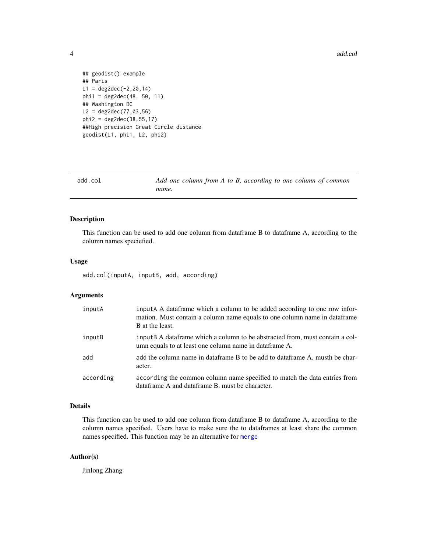4 add.col

```
## geodist() example
## Paris
L1 = deg2dec(-2, 20, 14)phi1 = deg2dec(48, 50, 11)
## Washington DC
L2 = deg2dec(77, 03, 56)phi2 = deg2dec(38,55,17)
##High precision Great Circle distance
geodist(L1, phi1, L2, phi2)
```

| add.col | Add one column from A to B, according to one column of common |
|---------|---------------------------------------------------------------|
|         | name.                                                         |

# Description

This function can be used to add one column from dataframe B to dataframe A, according to the column names speciefied.

#### Usage

add.col(inputA, inputB, add, according)

# Arguments

| inputA    | input A data frame which a column to be added according to one row infor-<br>mation. Must contain a column name equals to one column name in dataframe<br><b>B</b> at the least. |
|-----------|----------------------------------------------------------------------------------------------------------------------------------------------------------------------------------|
| inputB    | inputB A dataframe which a column to be abstracted from, must contain a col-<br>umn equals to at least one column name in dataframe A.                                           |
| add       | add the column name in dataframe B to be add to dataframe A, musth be char-<br>acter.                                                                                            |
| according | according the common column name specified to match the data entries from<br>dataframe A and dataframe B, must be character.                                                     |

# Details

This function can be used to add one column from dataframe B to dataframe A, according to the column names specified. Users have to make sure the to dataframes at least share the common names specified. This function may be an alternative for [merge](#page-0-0)

# Author(s)

Jinlong Zhang

<span id="page-3-0"></span>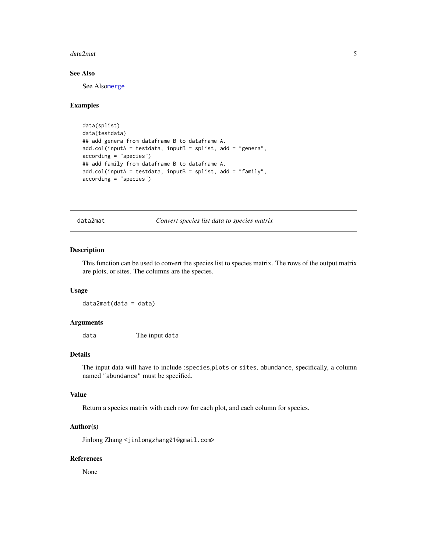#### <span id="page-4-0"></span>data2mat 5

# See Also

See Also[merge](#page-0-0)

#### Examples

```
data(splist)
data(testdata)
## add genera from dataframe B to dataframe A.
add.col(inputA = testdata, inputB = splist, add = "genera",
according = "species")
## add family from dataframe B to dataframe A.
add.col(inputA = testdata, inputB = splist, add = "family",
according = "species")
```
data2mat *Convert species list data to species matrix*

#### Description

This function can be used to convert the species list to species matrix. The rows of the output matrix are plots, or sites. The columns are the species.

#### Usage

data2mat(data = data)

# Arguments

data The input data

#### Details

The input data will have to include :species,plots or sites, abundance, specifically, a column named "abundance" must be specified.

# Value

Return a species matrix with each row for each plot, and each column for species.

#### Author(s)

Jinlong Zhang <jinlongzhang01@gmail.com>

# References

None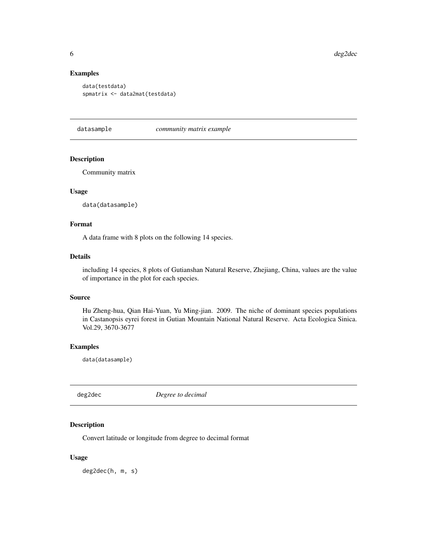# Examples

```
data(testdata)
spmatrix <- data2mat(testdata)
```
datasample *community matrix example*

#### Description

Community matrix

# Usage

data(datasample)

#### Format

A data frame with 8 plots on the following 14 species.

#### Details

including 14 species, 8 plots of Gutianshan Natural Reserve, Zhejiang, China, values are the value of importance in the plot for each species.

#### Source

Hu Zheng-hua, Qian Hai-Yuan, Yu Ming-jian. 2009. The niche of dominant species populations in Castanopsis eyrei forest in Gutian Mountain National Natural Reserve. Acta Ecologica Sinica. Vol.29, 3670-3677

#### Examples

data(datasample)

deg2dec *Degree to decimal*

# Description

Convert latitude or longitude from degree to decimal format

# Usage

deg2dec(h, m, s)

<span id="page-5-0"></span>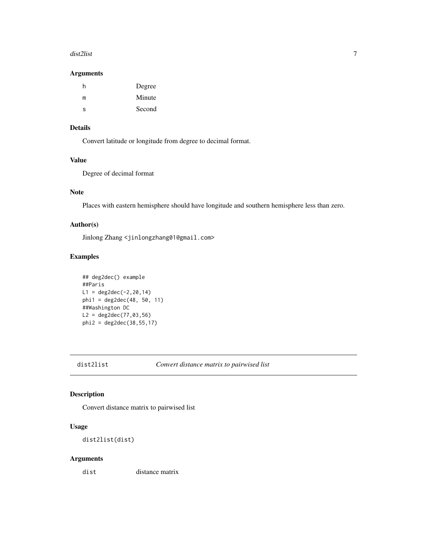#### <span id="page-6-0"></span>dist2list 7

#### Arguments

| h | Degree |
|---|--------|
| m | Minute |
| s | Second |

### Details

Convert latitude or longitude from degree to decimal format.

# Value

Degree of decimal format

# Note

Places with eastern hemisphere should have longitude and southern hemisphere less than zero.

#### Author(s)

Jinlong Zhang <jinlongzhang01@gmail.com>

# Examples

```
## deg2dec() example
##Paris
L1 = deg2dec(-2, 20, 14)phi1 = deg2dec(48, 50, 11)
##Washington DC
L2 = deg2dec(77, 03, 56)phi2 = deg2dec(38, 55, 17)
```
<span id="page-6-1"></span>dist2list *Convert distance matrix to pairwised list*

# Description

Convert distance matrix to pairwised list

# Usage

dist2list(dist)

# Arguments

dist distance matrix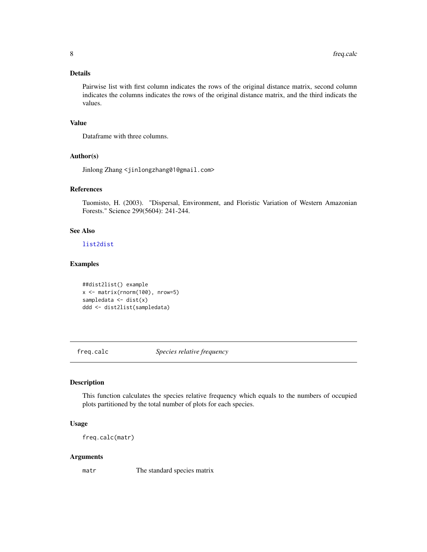#### <span id="page-7-0"></span>Details

Pairwise list with first column indicates the rows of the original distance matrix, second column indicates the columns indicates the rows of the original distance matrix, and the third indicats the values.

# Value

Dataframe with three columns.

#### Author(s)

Jinlong Zhang <jinlongzhang01@gmail.com>

#### References

Tuomisto, H. (2003). "Dispersal, Environment, and Floristic Variation of Western Amazonian Forests." Science 299(5604): 241-244.

# See Also

[list2dist](#page-11-1)

# Examples

##dist2list() example x <- matrix(rnorm(100), nrow=5) sampledata  $\leq$  dist(x) ddd <- dist2list(sampledata)

freq.calc *Species relative frequency*

#### Description

This function calculates the species relative frequency which equals to the numbers of occupied plots partitioned by the total number of plots for each species.

#### Usage

freq.calc(matr)

#### Arguments

matr The standard species matrix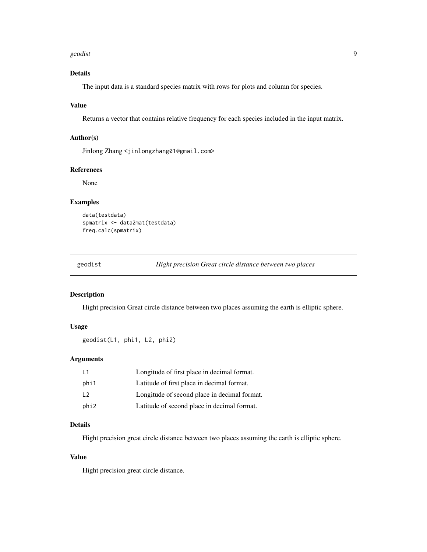#### <span id="page-8-0"></span>geodist two states of the contract of the contract of the contract of the contract of the contract of the contract of the contract of the contract of the contract of the contract of the contract of the contract of the cont

# Details

The input data is a standard species matrix with rows for plots and column for species.

# Value

Returns a vector that contains relative frequency for each species included in the input matrix.

#### Author(s)

Jinlong Zhang <jinlongzhang01@gmail.com>

#### References

None

#### Examples

```
data(testdata)
spmatrix <- data2mat(testdata)
freq.calc(spmatrix)
```
<span id="page-8-1"></span>geodist *Hight precision Great circle distance between two places*

#### Description

Hight precision Great circle distance between two places assuming the earth is elliptic sphere.

# Usage

```
geodist(L1, phi1, L2, phi2)
```
#### Arguments

| $\vert$ 1  | Longitude of first place in decimal format.  |
|------------|----------------------------------------------|
| phi1       | Latitude of first place in decimal format.   |
| $\sqrt{2}$ | Longitude of second place in decimal format. |
| phi2       | Latitude of second place in decimal format.  |

#### Details

Hight precision great circle distance between two places assuming the earth is elliptic sphere.

# Value

Hight precision great circle distance.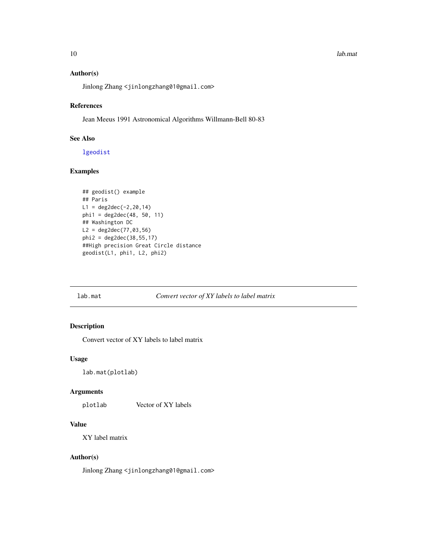#### <span id="page-9-0"></span>10 lab.mat and the state of the state of the state of the state of the state of the state of the state of the state of the state of the state of the state of the state of the state of the state of the state of the state of

# Author(s)

Jinlong Zhang <jinlongzhang01@gmail.com>

# References

Jean Meeus 1991 Astronomical Algorithms Willmann-Bell 80-83

# See Also

[lgeodist](#page-10-1)

#### Examples

```
## geodist() example
## Paris
L1 = deg2dec(-2, 20, 14)phi1 = deg2dec(48, 50, 11)
## Washington DC
L2 = deg2dec(77, 03, 56)phi2 = deg2dec(38,55,17)
##High precision Great Circle distance
geodist(L1, phi1, L2, phi2)
```
#### <span id="page-9-1"></span>lab.mat *Convert vector of XY labels to label matrix*

# Description

Convert vector of XY labels to label matrix

#### Usage

lab.mat(plotlab)

#### Arguments

plotlab Vector of XY labels

#### Value

XY label matrix

#### Author(s)

Jinlong Zhang <jinlongzhang01@gmail.com>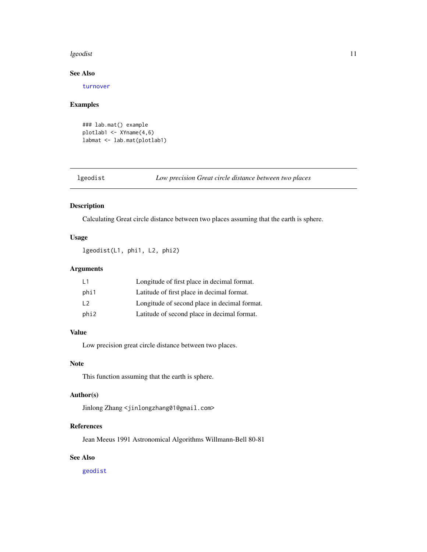#### <span id="page-10-0"></span>lgeodist the state of the state of the state of the state of the state of the state of the state of the state of the state of the state of the state of the state of the state of the state of the state of the state of the s

#### See Also

[turnover](#page-27-1)

#### Examples

```
### lab.mat() example
plotlab1 <- XYname(4,6)
labmat <- lab.mat(plotlab1)
```
<span id="page-10-1"></span>lgeodist *Low precision Great circle distance between two places*

#### Description

Calculating Great circle distance between two places assuming that the earth is sphere.

# Usage

lgeodist(L1, phi1, L2, phi2)

# Arguments

| L1   | Longitude of first place in decimal format.  |
|------|----------------------------------------------|
| phi1 | Latitude of first place in decimal format.   |
| L2   | Longitude of second place in decimal format. |
| phi2 | Latitude of second place in decimal format.  |

### Value

Low precision great circle distance between two places.

#### Note

This function assuming that the earth is sphere.

# Author(s)

Jinlong Zhang <jinlongzhang01@gmail.com>

# References

Jean Meeus 1991 Astronomical Algorithms Willmann-Bell 80-81

# See Also

[geodist](#page-8-1)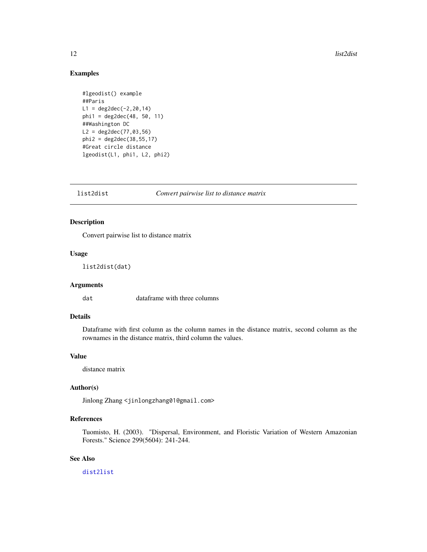# Examples

```
#lgeodist() example
##Paris
L1 = deg2dec(-2, 20, 14)phi1 = deg2dec(48, 50, 11)##Washington DC
L2 = deg2dec(77, 03, 56)phi2 = deg2dec(38, 55, 17)#Great circle distance
lgeodist(L1, phi1, L2, phi2)
```
<span id="page-11-1"></span>

list2dist *Convert pairwise list to distance matrix*

# Description

Convert pairwise list to distance matrix

#### Usage

list2dist(dat)

#### Arguments

dat dataframe with three columns

#### Details

Dataframe with first column as the column names in the distance matrix, second column as the rownames in the distance matrix, third column the values.

# Value

distance matrix

# Author(s)

Jinlong Zhang <jinlongzhang01@gmail.com>

### References

Tuomisto, H. (2003). "Dispersal, Environment, and Floristic Variation of Western Amazonian Forests." Science 299(5604): 241-244.

# See Also

[dist2list](#page-6-1)

<span id="page-11-0"></span>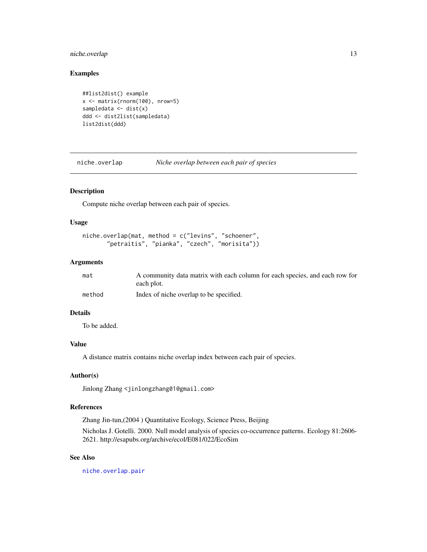# <span id="page-12-0"></span>niche.overlap 13

# Examples

```
##list2dist() example
x <- matrix(rnorm(100), nrow=5)
sampledata \leq dist(x)
ddd <- dist2list(sampledata)
list2dist(ddd)
```
<span id="page-12-1"></span>niche.overlap *Niche overlap between each pair of species*

# Description

Compute niche overlap between each pair of species.

#### Usage

```
niche.overlap(mat, method = c("levins", "schoener",
       "petraitis", "pianka", "czech", "morisita"))
```
#### Arguments

| mat    | A community data matrix with each column for each species, and each row for |
|--------|-----------------------------------------------------------------------------|
|        | each plot.                                                                  |
| method | Index of niche overlap to be specified.                                     |

#### Details

To be added.

# Value

A distance matrix contains niche overlap index between each pair of species.

### Author(s)

Jinlong Zhang <jinlongzhang01@gmail.com>

# References

Zhang Jin-tun,(2004 ) Quantitative Ecology, Science Press, Beijing

Nicholas J. Gotelli. 2000. Null model analysis of species co-occurrence patterns. Ecology 81:2606- 2621. http://esapubs.org/archive/ecol/E081/022/EcoSim

#### See Also

[niche.overlap.pair](#page-15-1)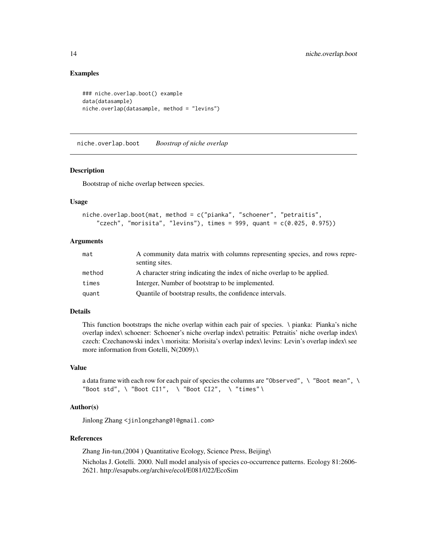### Examples

```
### niche.overlap.boot() example
data(datasample)
niche.overlap(datasample, method = "levins")
```
<span id="page-13-1"></span>niche.overlap.boot *Boostrap of niche overlap*

#### Description

Bootstrap of niche overlap between species.

#### Usage

```
niche.overlap.boot(mat, method = c("pianka", "schoener", "petraitis",
    "czech", "morisita", "levins"), times = 999, quant = c(0.025, 0.975))
```
# Arguments

| mat    | A community data matrix with columns representing species, and rows repre-<br>senting sites. |
|--------|----------------------------------------------------------------------------------------------|
| method | A character string indicating the index of niche overlap to be applied.                      |
| times  | Interger, Number of bootstrap to be implemented.                                             |
| quant  | Quantile of bootstrap results, the confidence intervals.                                     |

# Details

This function bootstraps the niche overlap within each pair of species. \ pianka: Pianka's niche overlap index\ schoener: Schoener's niche overlap index\ petraitis: Petraitis' niche overlap index\ czech: Czechanowski index \ morisita: Morisita's overlap index\ levins: Levin's overlap index\ see more information from Gotelli, N(2009).\

#### Value

a data frame with each row for each pair of species the columns are "Observed", \ "Boot mean", \ "Boot std", \ "Boot CI1", \ "Boot CI2", \ "times" \

# Author(s)

Jinlong Zhang <jinlongzhang01@gmail.com>

#### References

Zhang Jin-tun,(2004 ) Quantitative Ecology, Science Press, Beijing\ Nicholas J. Gotelli. 2000. Null model analysis of species co-occurrence patterns. Ecology 81:2606- 2621. http://esapubs.org/archive/ecol/E081/022/EcoSim

<span id="page-13-0"></span>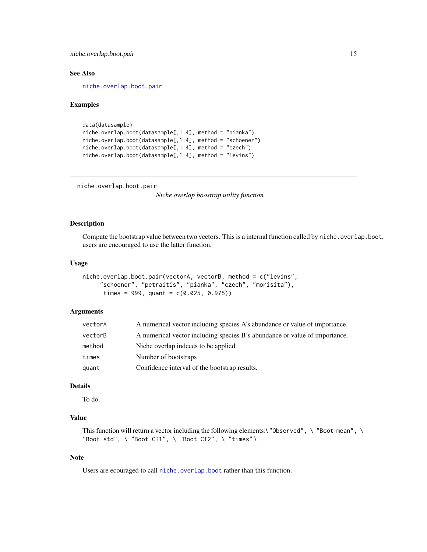<span id="page-14-0"></span>niche.overlap.boot.pair 15

#### See Also

[niche.overlap.boot.pair](#page-14-1)

#### Examples

```
data(datasample)
niche.overlap.boot(datasample[,1:4], method = "pianka")
niche.overlap.boot(datasample[,1:4], method = "schoener")
niche.overlap.boot(datasample[,1:4], method = "czech")
niche.overlap.boot(datasample[,1:4], method = "levins")
```
<span id="page-14-1"></span>niche.overlap.boot.pair

*Niche overlap boostrap utility function*

# Description

Compute the bootstrap value between two vectors. This is a internal function called by niche.overlap.boot, users are encouraged to use the latter function.

#### Usage

```
niche.overlap.boot.pair(vectorA, vectorB, method = c("levins",
     "schoener", "petraitis", "pianka", "czech", "morisita"),
     times = 999, quant = c(0.025, 0.975)
```
# Arguments

| vectorA | A numerical vector including species A's abundance or value of importance. |
|---------|----------------------------------------------------------------------------|
| vectorB | A numerical vector including species B's abundance or value of importance. |
| method  | Niche overlap indeces to be applied.                                       |
| times   | Number of bootstraps                                                       |
| quant   | Confidence interval of the bootstrap results.                              |

#### Details

To do.

# Value

This function will return a vector including the following elements:\ "Observed", \ "Boot mean", \ "Boot std", \ "Boot CI1", \ "Boot CI2", \ "times" \

# Note

Users are ecouraged to call [niche.overlap.boot](#page-13-1) rather than this function.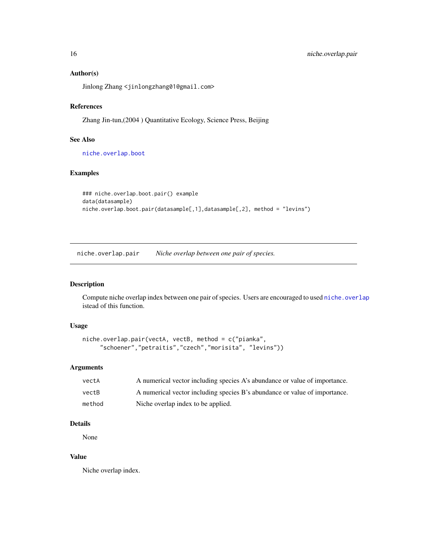# Author(s)

Jinlong Zhang <jinlongzhang01@gmail.com>

#### References

Zhang Jin-tun,(2004 ) Quantitative Ecology, Science Press, Beijing

#### See Also

[niche.overlap.boot](#page-13-1)

# Examples

```
### niche.overlap.boot.pair() example
data(datasample)
niche.overlap.boot.pair(datasample[,1],datasample[,2], method = "levins")
```
<span id="page-15-1"></span>niche.overlap.pair *Niche overlap between one pair of species.*

# Description

Compute niche overlap index between one pair of species. Users are encouraged to used [niche.overlap](#page-12-1) istead of this function.

# Usage

```
niche.overlap.pair(vectA, vectB, method = c("pianka",
     "schoener","petraitis","czech","morisita", "levins"))
```
### Arguments

| vectA  | A numerical vector including species A's abundance or value of importance. |
|--------|----------------------------------------------------------------------------|
| vectB  | A numerical vector including species B's abundance or value of importance. |
| method | Niche overlap index to be applied.                                         |

# Details

None

# Value

Niche overlap index.

<span id="page-15-0"></span>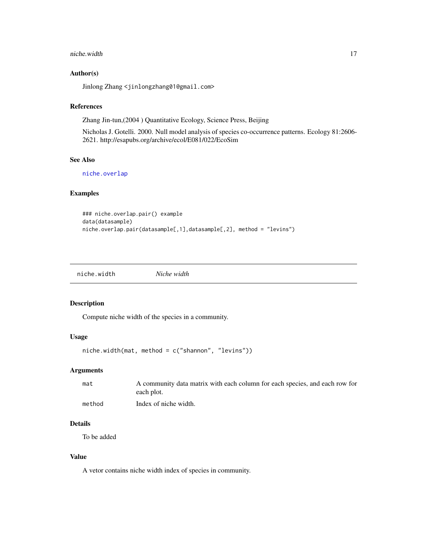#### <span id="page-16-0"></span>niche.width 17

#### Author(s)

Jinlong Zhang <jinlongzhang01@gmail.com>

#### References

Zhang Jin-tun,(2004 ) Quantitative Ecology, Science Press, Beijing

Nicholas J. Gotelli. 2000. Null model analysis of species co-occurrence patterns. Ecology 81:2606- 2621. http://esapubs.org/archive/ecol/E081/022/EcoSim

#### See Also

[niche.overlap](#page-12-1)

#### Examples

```
### niche.overlap.pair() example
data(datasample)
niche.overlap.pair(datasample[,1],datasample[,2], method = "levins")
```
niche.width *Niche width*

#### Description

Compute niche width of the species in a community.

# Usage

```
niche.width(mat, method = c("shannon", "levins"))
```
# Arguments

| mat    | A community data matrix with each column for each species, and each row for<br>each plot. |
|--------|-------------------------------------------------------------------------------------------|
| method | Index of niche width.                                                                     |

# Details

To be added

# Value

A vetor contains niche width index of species in community.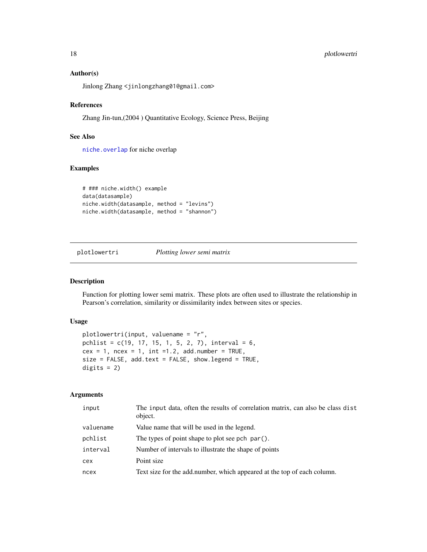# <span id="page-17-0"></span>18 plotlowertri

#### Author(s)

Jinlong Zhang <jinlongzhang01@gmail.com>

#### References

Zhang Jin-tun,(2004 ) Quantitative Ecology, Science Press, Beijing

# See Also

[niche.overlap](#page-12-1) for niche overlap

# Examples

```
# ### niche.width() example
data(datasample)
niche.width(datasample, method = "levins")
niche.width(datasample, method = "shannon")
```
#### plotlowertri *Plotting lower semi matrix*

#### Description

Function for plotting lower semi matrix. These plots are often used to illustrate the relationship in Pearson's correlation, similarity or dissimilarity index between sites or species.

#### Usage

```
plotlowertri(input, valuename = "r",
pchlist = c(19, 17, 15, 1, 5, 2, 7), interval = 6,
cex = 1, ncex = 1, int =1.2, add.number = TRUE,
size = FALSE, add.text = FALSE, show.legend = TRUE,
digits = 2)
```
# Arguments

| input     | The input data, often the results of correlation matrix, can also be class dist<br>object. |  |
|-----------|--------------------------------------------------------------------------------------------|--|
| valuename | Value name that will be used in the legend.                                                |  |
| pchlist   | The types of point shape to plot see pch par().                                            |  |
| interval  | Number of intervals to illustrate the shape of points                                      |  |
| cex       | Point size                                                                                 |  |
| ncex      | Text size for the add.number, which appeared at the top of each column.                    |  |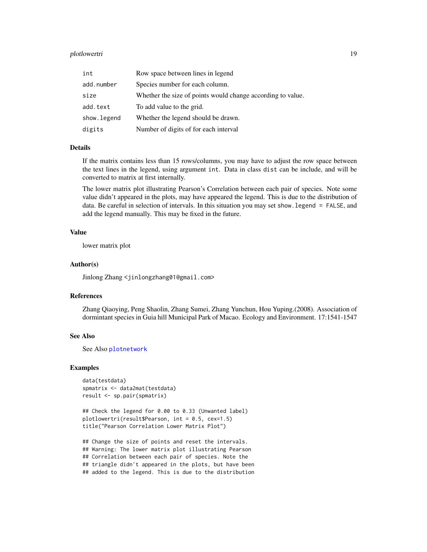# <span id="page-18-0"></span>plotlowertri 19

| int          | Row space between lines in legend                           |  |
|--------------|-------------------------------------------------------------|--|
| add.number   | Species number for each column.                             |  |
| size         | Whether the size of points would change according to value. |  |
| add.text     | To add value to the grid.                                   |  |
| show. legend | Whether the legend should be drawn.                         |  |
| digits       | Number of digits of for each interval                       |  |

#### Details

If the matrix contains less than 15 rows/columns, you may have to adjust the row space between the text lines in the legend, using argument int. Data in class dist can be include, and will be converted to matrix at first internally.

The lower matrix plot illustrating Pearson's Correlation between each pair of species. Note some value didn't appeared in the plots, may have appeared the legend. This is due to the distribution of data. Be careful in selection of intervals. In this situation you may set show.legend = FALSE, and add the legend manually. This may be fixed in the future.

#### Value

lower matrix plot

#### Author(s)

Jinlong Zhang <jinlongzhang01@gmail.com>

#### References

Zhang Qiaoying, Peng Shaolin, Zhang Sumei, Zhang Yunchun, Hou Yuping.(2008). Association of dormintant species in Guia hill Municipal Park of Macao. Ecology and Environment. 17:1541-1547

#### See Also

See Also [plotnetwork](#page-19-1)

#### Examples

```
data(testdata)
spmatrix <- data2mat(testdata)
result <- sp.pair(spmatrix)
```

```
## Check the legend for 0.00 to 0.33 (Unwanted label)
plotlowertri(result$Pearson, int = 0.5, cex=1.5)
title("Pearson Correlation Lower Matrix Plot")
```
## Change the size of points and reset the intervals. ## Warning: The lower matrix plot illustrating Pearson ## Correlation between each pair of species. Note the ## triangle didn't appeared in the plots, but have been ## added to the legend. This is due to the distribution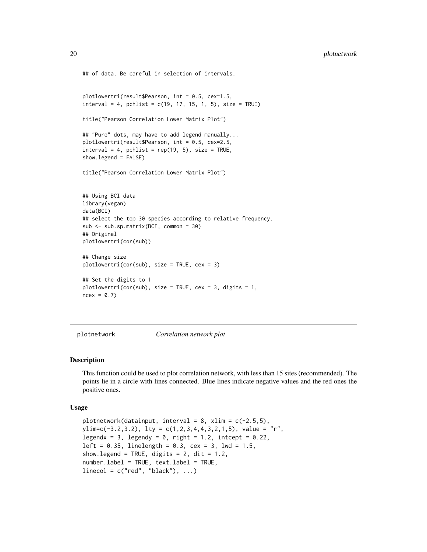```
## of data. Be careful in selection of intervals.
plotlowertri(result$Pearson, int = 0.5, cex=1.5,
interval = 4, pchlist = c(19, 17, 15, 1, 5), size = TRUEtitle("Pearson Correlation Lower Matrix Plot")
## "Pure" dots, may have to add legend manually...
plotlowertri(result$Pearson, int = 0.5, cex=2.5,
interval = 4, pchlist = rep(19, 5), size = TRUE,
show.legend = FALSE)
title("Pearson Correlation Lower Matrix Plot")
## Using BCI data
library(vegan)
data(BCI)
## select the top 30 species according to relative frequency.
sub <- sub.sp.matrix(BCI, common = 30)
## Original
plotlowertri(cor(sub))
## Change size
plotlowertri(cor(sub), size = TRUE, cex = 3)
## Set the digits to 1
plotlowertri(cor(sub), size = TRUE, cex = 3, digits = 1,
ncex = 0.7
```
<span id="page-19-1"></span>plotnetwork *Correlation network plot*

#### Description

This function could be used to plot correlation network, with less than 15 sites (recommended). The points lie in a circle with lines connected. Blue lines indicate negative values and the red ones the positive ones.

#### Usage

```
plotnetwork(datainput, interval = 8, xlim = c(-2.5,5),
ylim=c(-3.2,3.2), lty = c(1,2,3,4,4,3,2,1,5), value = "r",
legendx = 3, legendy = 0, right = 1.2, intcept = 0.22,
left = 0.35, linelength = 0.3, cex = 3, lwd = 1.5,
show. legend = TRUE, digits = 2, dit = 1.2,
number.label = TRUE, text.label = TRUE,
linecol = c("red", "black"), ...
```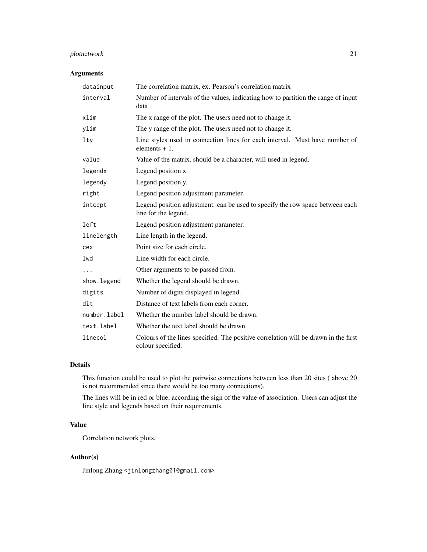# plotnetwork 21

# Arguments

| datainput    | The correlation matrix, ex. Pearson's correlation matrix                                                 |
|--------------|----------------------------------------------------------------------------------------------------------|
| interval     | Number of intervals of the values, indicating how to partition the range of input<br>data                |
| xlim         | The x range of the plot. The users need not to change it.                                                |
| ylim         | The y range of the plot. The users need not to change it.                                                |
| lty          | Line styles used in connection lines for each interval. Must have number of<br>elements $+1$ .           |
| value        | Value of the matrix, should be a character, will used in legend.                                         |
| legendx      | Legend position x.                                                                                       |
| legendy      | Legend position y.                                                                                       |
| right        | Legend position adjustment parameter.                                                                    |
| intcept      | Legend position adjustment. can be used to specify the row space between each<br>line for the legend.    |
| left         | Legend position adjustment parameter.                                                                    |
| linelength   | Line length in the legend.                                                                               |
| cex          | Point size for each circle.                                                                              |
| 1wd          | Line width for each circle.                                                                              |
| .            | Other arguments to be passed from.                                                                       |
| show.legend  | Whether the legend should be drawn.                                                                      |
| digits       | Number of digits displayed in legend.                                                                    |
| dit          | Distance of text labels from each corner.                                                                |
| number.label | Whether the number label should be drawn.                                                                |
| text.label   | Whether the text label should be drawn.                                                                  |
| linecol      | Colours of the lines specified. The positive correlation will be drawn in the first<br>colour specified. |

# Details

This function could be used to plot the pairwise connections between less than 20 sites ( above 20 is not recommended since there would be too many connections).

The lines will be in red or blue, according the sign of the value of association. Users can adjust the line style and legends based on their requirements.

# Value

Correlation network plots.

# Author(s)

Jinlong Zhang <jinlongzhang01@gmail.com>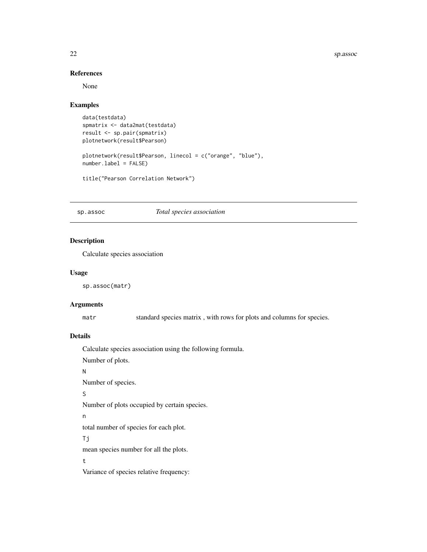<span id="page-21-0"></span>22 sp.assoc

# References

None

# Examples

```
data(testdata)
spmatrix <- data2mat(testdata)
result <- sp.pair(spmatrix)
plotnetwork(result$Pearson)
plotnetwork(result$Pearson, linecol = c("orange", "blue"),
number.label = FALSE)
```
title("Pearson Correlation Network")

#### <span id="page-21-1"></span>sp.assoc *Total species association*

#### Description

Calculate species association

### Usage

sp.assoc(matr)

#### Arguments

matr standard species matrix , with rows for plots and columns for species.

# Details

Calculate species association using the following formula.

Number of plots.

N

Number of species.

# S

Number of plots occupied by certain species.

n

total number of species for each plot.

Tj

mean species number for all the plots.

t

Variance of species relative frequency: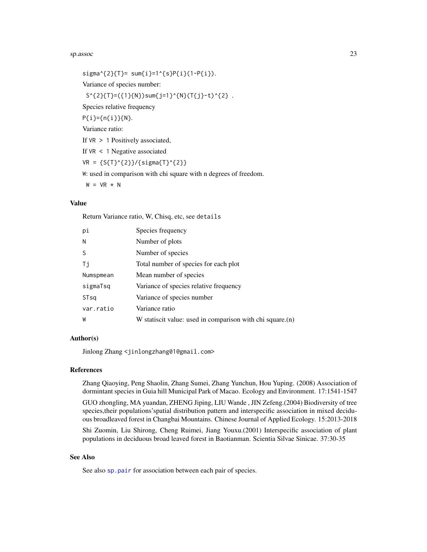#### <span id="page-22-0"></span>sp.assoc 23

 $signa^{2}{T} = sum{i} = 1^{s}S{P{i}(1-P{i}).}$ Variance of species number:  $S^{(2)}{T}=(1){N})sum{j=1}^{N}(N){T(j-t)^{2}}$  . Species relative frequency P{i}={n{i}}{N}. Variance ratio: If VR > 1 Positively associated, If VR < 1 Negative associated  $VR = {S(T)^{2}}/ {signa(T)^{2}}$ 

W: used in comparison with chi square with n degrees of freedom.

 $W = VR * N$ 

# Value

Return Variance ratio, W, Chisq, etc, see details

| рi        | Species frequency                                         |
|-----------|-----------------------------------------------------------|
| N         | Number of plots                                           |
| -S        | Number of species                                         |
| Τj        | Total number of species for each plot                     |
| Numspmean | Mean number of species                                    |
| sigmaTsq  | Variance of species relative frequency                    |
| STsg      | Variance of species number                                |
| var.ratio | Variance ratio                                            |
| W         | W statiscit value: used in comparison with chi square.(n) |

#### Author(s)

Jinlong Zhang <jinlongzhang01@gmail.com>

#### References

Zhang Qiaoying, Peng Shaolin, Zhang Sumei, Zhang Yunchun, Hou Yuping. (2008) Association of dormintant species in Guia hill Municipal Park of Macao. Ecology and Environment. 17:1541-1547

GUO zhongling, MA yuandan, ZHENG Jiping, LIU Wande , JIN Zefeng.(2004) Biodiversity of tree species,their populations'spatial distribution pattern and interspecific association in mixed deciduous broadleaved forest in Changbai Mountains. Chinese Journal of Applied Ecology. 15:2013-2018

Shi Zuomin, Liu Shirong, Cheng Ruimei, Jiang Youxu.(2001) Interspecific association of plant populations in deciduous broad leaved forest in Baotianman. Scientia Silvae Sinicae. 37:30-35

# See Also

See also [sp.pair](#page-23-1) for association between each pair of species.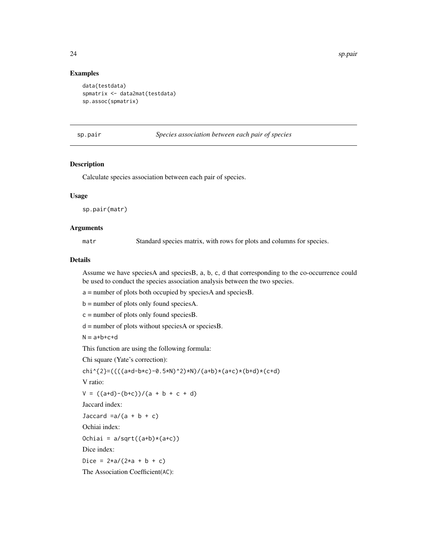24 sp.pair

# Examples

```
data(testdata)
spmatrix <- data2mat(testdata)
sp.assoc(spmatrix)
```
#### <span id="page-23-1"></span>sp.pair *Species association between each pair of species*

#### Description

Calculate species association between each pair of species.

#### Usage

sp.pair(matr)

#### Arguments

matr Standard species matrix, with rows for plots and columns for species.

#### Details

Assume we have speciesA and speciesB, a, b, c, d that corresponding to the co-occurrence could be used to conduct the species association analysis between the two species.

a = number of plots both occupied by speciesA and speciesB.

b = number of plots only found speciesA.

 $c =$  number of plots only found species B.

 $d =$  number of plots without species A or species B.

 $N = a+b+c+d$ 

This function are using the following formula:

Chi square (Yate's correction):

```
chi^{2}=((((a*d-b*c)-0.5*N)^2)*N)/(a+b)*(a+c)*(b+d)*(c+d)
```
V ratio:

```
V = ((a+d)-(b+c))/(a + b + c + d)
```
Jaccard index:

Jaccard  $=a/(a + b + c)$ 

Ochiai index:

Ochiai =  $a/sqrt((a+b)*(a+c))$ 

Dice index:

Dice =  $2*a/(2*a + b + c)$ 

The Association Coefficient(AC):

<span id="page-23-0"></span>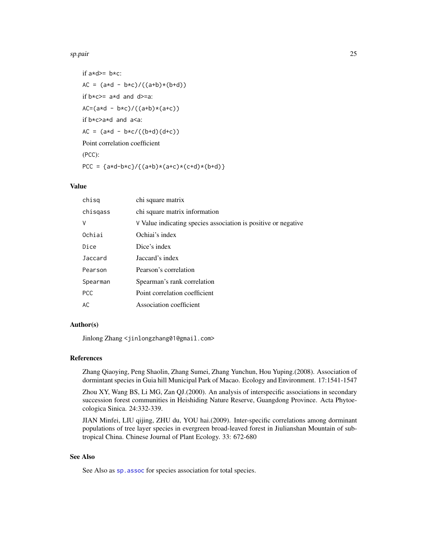#### <span id="page-24-0"></span>sp.pair 25

```
if a*d>= b*c:
AC = (a*d - b*c)/((a+b)*(b+d))if b \times c \ge a \times d and d \ge a:
AC=(a*d - b*c)/((a+b)*(a+c))if b*c>a*d and a<a:
AC = (a*d - b*c/((b+d)(d+c))Point correlation coefficient
(PCC):
PCC = {a*d-b*c}/({a+b)*(a+c)*(c+d)*(b+d)}
```
# Value

| chisg      | chi square matrix                                              |  |
|------------|----------------------------------------------------------------|--|
| chisgass   | chi square matrix information                                  |  |
| $\vee$     | V Value indicating species association is positive or negative |  |
| Ochiai     | Ochiai's index                                                 |  |
| Dice       | Dice's index                                                   |  |
| Jaccard    | Jaccard's index                                                |  |
| Pearson    | Pearson's correlation                                          |  |
| Spearman   | Spearman's rank correlation                                    |  |
| <b>PCC</b> | Point correlation coefficient                                  |  |
| AC         | Association coefficient                                        |  |

# Author(s)

Jinlong Zhang <jinlongzhang01@gmail.com>

#### References

Zhang Qiaoying, Peng Shaolin, Zhang Sumei, Zhang Yunchun, Hou Yuping.(2008). Association of dormintant species in Guia hill Municipal Park of Macao. Ecology and Environment. 17:1541-1547

Zhou XY, Wang BS, Li MG, Zan QJ.(2000). An analysis of interspecific associations in secondary succession forest communities in Heishiding Nature Reserve, Guangdong Province. Acta Phytoecologica Sinica. 24:332-339.

JIAN Minfei, LIU qijing, ZHU du, YOU hai.(2009). Inter-specific correlations among dorminant populations of tree layer species in evergreen broad-leaved forest in Jiulianshan Mountain of subtropical China. Chinese Journal of Plant Ecology. 33: 672-680

# See Also

See Also as sp. assoc for species association for total species.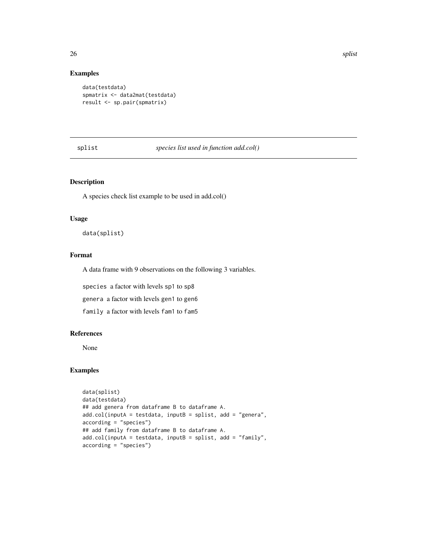# Examples

```
data(testdata)
spmatrix <- data2mat(testdata)
result <- sp.pair(spmatrix)
```
splist *species list used in function add.col()*

# Description

A species check list example to be used in add.col()

#### Usage

data(splist)

#### Format

A data frame with 9 observations on the following 3 variables.

species a factor with levels sp1 to sp8

genera a factor with levels gen1 to gen6

family a factor with levels fam1 to fam5

# References

None

# Examples

```
data(splist)
data(testdata)
## add genera from dataframe B to dataframe A.
add.col(inputA = testdata, inputB = splist, add = "genera",
according = "species")
## add family from dataframe B to dataframe A.
add.col(inputA = testdata, inputB = splist, add = "family",
according = "species")
```
<span id="page-25-0"></span>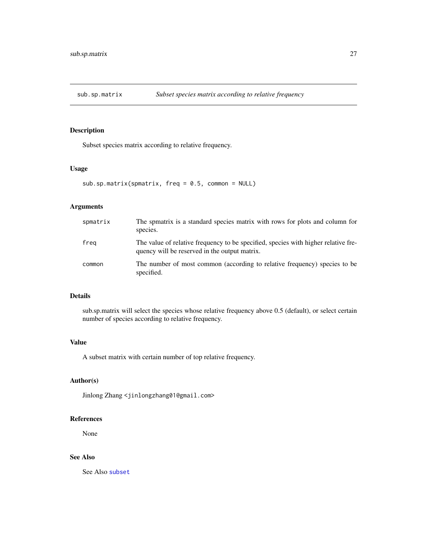<span id="page-26-0"></span>

# Description

Subset species matrix according to relative frequency.

# Usage

sub.sp.matrix(spmatrix, freq = 0.5, common = NULL)

# Arguments

| spmatrix | The spmatrix is a standard species matrix with rows for plots and column for<br>species.                                            |
|----------|-------------------------------------------------------------------------------------------------------------------------------------|
| freg     | The value of relative frequency to be specified, species with higher relative fre-<br>quency will be reserved in the output matrix. |
| common   | The number of most common (according to relative frequency) species to be<br>specified.                                             |

# Details

sub.sp.matrix will select the species whose relative frequency above 0.5 (default), or select certain number of species according to relative frequency.

# Value

A subset matrix with certain number of top relative frequency.

#### Author(s)

Jinlong Zhang <jinlongzhang01@gmail.com>

#### References

None

# See Also

See Also [subset](#page-0-0)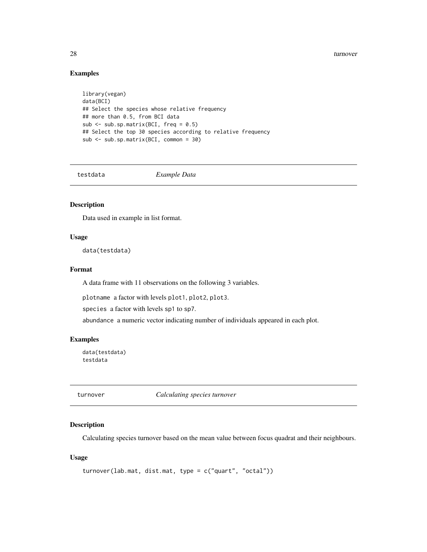<span id="page-27-0"></span>28 turnover the contract of the contract of the contract of the contract of the contract of the contract of the contract of the contract of the contract of the contract of the contract of the contract of the contract of th

# Examples

```
library(vegan)
data(BCI)
## Select the species whose relative frequency
## more than 0.5, from BCI data
sub <- sub.sp.matrix(BCI, freq = 0.5)
## Select the top 30 species according to relative frequency
sub <- sub.sp.matrix(BCI, common = 30)
```
testdata *Example Data*

#### Description

Data used in example in list format.

#### Usage

data(testdata)

# Format

A data frame with 11 observations on the following 3 variables.

plotname a factor with levels plot1, plot2, plot3.

species a factor with levels sp1 to sp7.

abundance a numeric vector indicating number of individuals appeared in each plot.

#### Examples

data(testdata) testdata

<span id="page-27-1"></span>turnover *Calculating species turnover*

#### Description

Calculating species turnover based on the mean value between focus quadrat and their neighbours.

# Usage

```
turnover(lab.mat, dist.mat, type = c("quart", "octal"))
```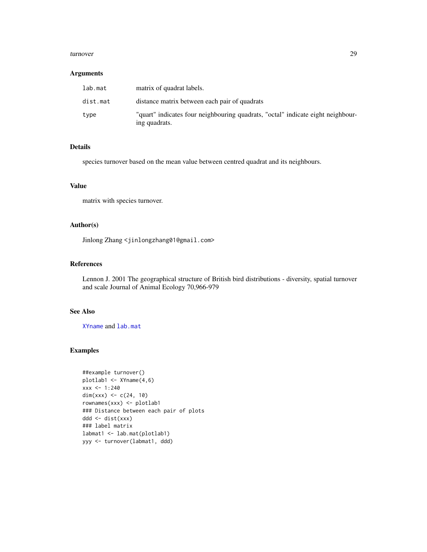#### <span id="page-28-0"></span>turnover 29

#### Arguments

| lab.mat  | matrix of quadrat labels.                                                                        |
|----------|--------------------------------------------------------------------------------------------------|
| dist.mat | distance matrix between each pair of quadrats                                                    |
| type     | "quart" indicates four neighbouring quadrats, "octal" indicate eight neighbour-<br>ing quadrats. |

# Details

species turnover based on the mean value between centred quadrat and its neighbours.

### Value

matrix with species turnover.

# Author(s)

Jinlong Zhang <jinlongzhang01@gmail.com>

### References

Lennon J. 2001 The geographical structure of British bird distributions - diversity, spatial turnover and scale Journal of Animal Ecology 70,966-979

# See Also

[XYname](#page-29-1) and [lab.mat](#page-9-1)

# Examples

```
##example turnover()
plotlab1 <- XYname(4,6)
xxx <- 1:240
dim(xxx) <- c(24, 10)rownames(xxx) <- plotlab1
### Distance between each pair of plots
ddd <- dist(xxx)
### label matrix
labmat1 <- lab.mat(plotlab1)
yyy <- turnover(labmat1, ddd)
```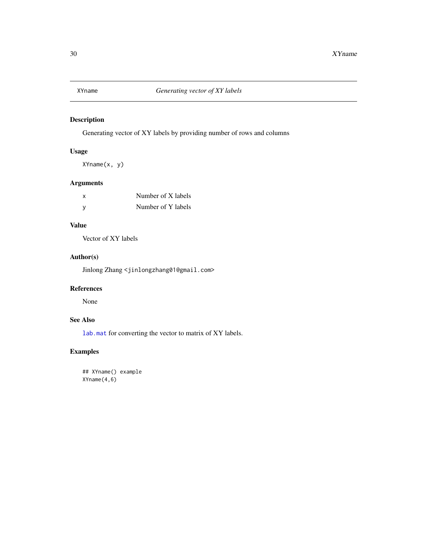<span id="page-29-1"></span><span id="page-29-0"></span>

# Description

Generating vector of XY labels by providing number of rows and columns

# Usage

XYname(x, y)

# Arguments

| x | Number of X labels |
|---|--------------------|
| y | Number of Y labels |

# Value

Vector of XY labels

# Author(s)

Jinlong Zhang <jinlongzhang01@gmail.com>

# References

None

# See Also

[lab.mat](#page-9-1) for converting the vector to matrix of XY labels.

# Examples

## XYname() example XYname(4,6)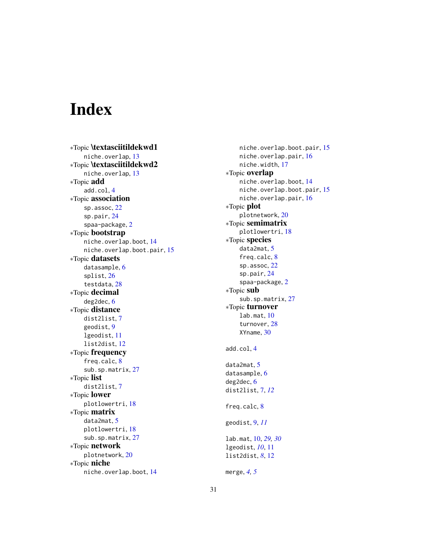# <span id="page-30-0"></span>Index

∗Topic \textasciitildekwd1 niche.overlap , [13](#page-12-0) ∗Topic \textasciitildekwd2 niche.overlap , [13](#page-12-0) ∗Topic add add.col , [4](#page-3-0) ∗Topic association sp.assoc, [22](#page-21-0) sp.pair , [24](#page-23-0) spaa-package, [2](#page-1-0) ∗Topic bootstrap niche.overlap.boot , [14](#page-13-0) niche.overlap.boot.pair , [15](#page-14-0) ∗Topic datasets datasample, [6](#page-5-0) splist , [26](#page-25-0) testdata , [28](#page-27-0) ∗Topic decimal deg2dec , [6](#page-5-0) ∗Topic distance dist2list , [7](#page-6-0) geodist , [9](#page-8-0) lgeodist , [11](#page-10-0) list2dist , [12](#page-11-0) ∗Topic frequency freq.calc , [8](#page-7-0) sub.sp.matrix, [27](#page-26-0) ∗Topic list dist2list , [7](#page-6-0) ∗Topic lower plotlowertri , [18](#page-17-0) ∗Topic matrix data2mat , [5](#page-4-0) plotlowertri , [18](#page-17-0) sub.sp.matrix, [27](#page-26-0) ∗Topic network plotnetwork , [20](#page-19-0) ∗Topic niche niche.overlap.boot , [14](#page-13-0)

niche.overlap.boot.pair , [15](#page-14-0) niche.overlap.pair , [16](#page-15-0) niche.width , [17](#page-16-0) ∗Topic overlap niche.overlap.boot , [14](#page-13-0) niche.overlap.boot.pair , [15](#page-14-0) niche.overlap.pair, [16](#page-15-0) ∗Topic plot plotnetwork , [20](#page-19-0) ∗Topic semimatrix plotlowertri , [18](#page-17-0) ∗Topic species data2mat , [5](#page-4-0) freq.calc, [8](#page-7-0) sp.assoc, [22](#page-21-0) sp.pair , [24](#page-23-0) spaa-package, [2](#page-1-0) ∗Topic sub sub.sp.matrix, [27](#page-26-0) ∗Topic turnover lab.mat , [10](#page-9-0) turnover , [28](#page-27-0) XYname , [30](#page-29-0) add.col , [4](#page-3-0) data2mat , [5](#page-4-0) datasample, <mark>[6](#page-5-0)</mark> deg2dec, <mark>[6](#page-5-0)</mark> dist2list , [7](#page-6-0) , *[12](#page-11-0)* freq.calc, [8](#page-7-0) geodist , [9](#page-8-0) , *[11](#page-10-0)* lab.mat , [10](#page-9-0) , *[29](#page-28-0) , [30](#page-29-0)* lgeodist , *[10](#page-9-0)* , [11](#page-10-0) list2dist , *[8](#page-7-0)* , [12](#page-11-0) merge , *[4](#page-3-0) , [5](#page-4-0)*